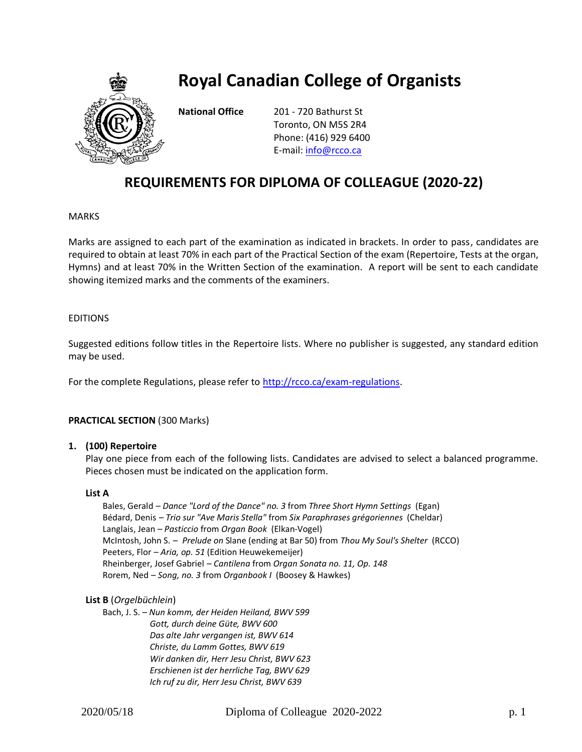

# **Royal Canadian College of Organists**

**National Office** 201 - 720 Bathurst St Toronto, ON M5S 2R4 Phone: (416) 929 6400 E-mail[: info@rcco.ca](mailto:info@rcco.ca)

# **REQUIREMENTS FOR DIPLOMA OF COLLEAGUE (2020-22)**

# MARKS

Marks are assigned to each part of the examination as indicated in brackets. In order to pass, candidates are required to obtain at least 70% in each part of the Practical Section of the exam (Repertoire, Tests at the organ, Hymns) and at least 70% in the Written Section of the examination. A report will be sent to each candidate showing itemized marks and the comments of the examiners.

# EDITIONS

Suggested editions follow titles in the Repertoire lists. Where no publisher is suggested, any standard edition may be used.

For the complete Regulations, please refer to [http://rcco.ca/exam-regulations.](http://rcco.ca/exam-regulations)

# **PRACTICAL SECTION** (300 Marks)

#### **1. (100) Repertoire**

Play one piece from each of the following lists. Candidates are advised to select a balanced programme. Pieces chosen must be indicated on the application form.

#### **List A**

Bales, Gerald – *Dance "Lord of the Dance" no. 3* from *Three Short Hymn Settings* (Egan) Bédard, Denis – *Trio sur "Ave Maris Stella"* from *Six Paraphrases grégoriennes* (Cheldar) Langlais, Jean – *Pasticcio* from *Organ Book* (Elkan-Vogel) McIntosh, John S. – *Prelude on* Slane (ending at Bar 50) from *Thou My Soul's Shelter* (RCCO) Peeters, Flor – *Aria, op. 51* (Edition Heuwekemeijer) Rheinberger, Josef Gabriel – *Cantilena* from *Organ Sonata no. 11, Op. 148* Rorem, Ned – *Song, no. 3* from *Organbook I* (Boosey & Hawkes)

#### **List B** (*Orgelbüchlein*)

Bach, J. S. – *Nun komm, der Heiden Heiland, BWV 599 Gott, durch deine Güte, BWV 600 Das alte Jahr vergangen ist, BWV 614 Christe, du Lamm Gottes, BWV 619 Wir danken dir, Herr Jesu Christ, BWV 623 Erschienen ist der herrliche Tag, BWV 629 Ich ruf zu dir, Herr Jesu Christ, BWV 639*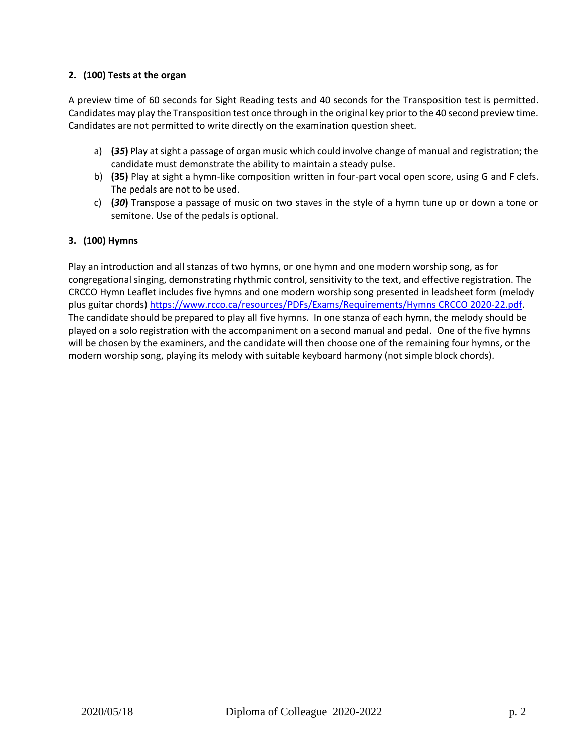# **2. (100) Tests at the organ**

A preview time of 60 seconds for Sight Reading tests and 40 seconds for the Transposition test is permitted. Candidates may play the Transposition test once through in the original key prior to the 40 second preview time. Candidates are not permitted to write directly on the examination question sheet.

- a) **(***35***)** Play at sight a passage of organ music which could involve change of manual and registration; the candidate must demonstrate the ability to maintain a steady pulse.
- b) **(35)** Play at sight a hymn-like composition written in four-part vocal open score, using G and F clefs. The pedals are not to be used.
- c) **(***30***)** Transpose a passage of music on two staves in the style of a hymn tune up or down a tone or semitone. Use of the pedals is optional.

# **3. (100) Hymns**

Play an introduction and all stanzas of two hymns, or one hymn and one modern worship song, as for congregational singing, demonstrating rhythmic control, sensitivity to the text, and effective registration. The CRCCO Hymn Leaflet includes five hymns and one modern worship song presented in leadsheet form (melody plus guitar chords[\) https://www.rcco.ca/resources/PDFs/Exams/Requirements/Hymns](https://www.rcco.ca/resources/PDFs/Exams/Requirements/Hymns%20CRCCO%202020-22.pdf) CRCCO 2020-22.pdf. The candidate should be prepared to play all five hymns. In one stanza of each hymn, the melody should be played on a solo registration with the accompaniment on a second manual and pedal. One of the five hymns will be chosen by the examiners, and the candidate will then choose one of the remaining four hymns, or the modern worship song, playing its melody with suitable keyboard harmony (not simple block chords).